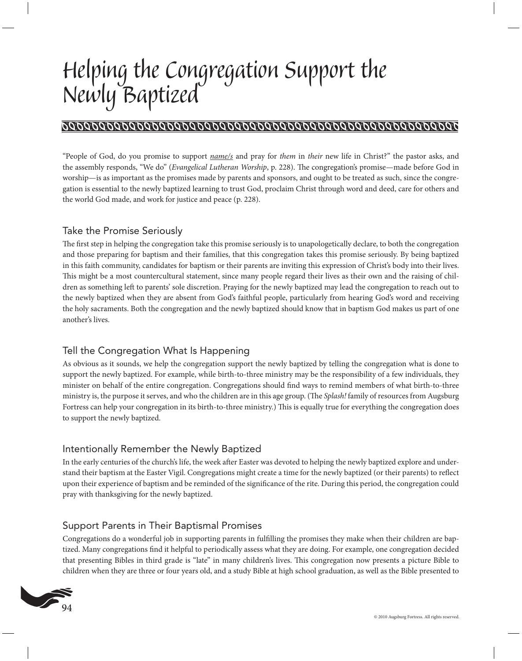# *Helping the Congregation Support the Newly Baptized*

## 

"People of God, do you promise to support *name/s* and pray for *them* in *their* new life in Christ?" the pastor asks, and the assembly responds, "We do" (*Evangelical Lutheran Worship*, p. 228). The congregation's promise—made before God in worship—is as important as the promises made by parents and sponsors, and ought to be treated as such, since the congregation is essential to the newly baptized learning to trust God, proclaim Christ through word and deed, care for others and the world God made, and work for justice and peace (p. 228).

#### Take the Promise Seriously

The first step in helping the congregation take this promise seriously is to unapologetically declare, to both the congregation and those preparing for baptism and their families, that this congregation takes this promise seriously. By being baptized in this faith community, candidates for baptism or their parents are inviting this expression of Christ's body into their lives. This might be a most countercultural statement, since many people regard their lives as their own and the raising of children as something left to parents' sole discretion. Praying for the newly baptized may lead the congregation to reach out to the newly baptized when they are absent from God's faithful people, particularly from hearing God's word and receiving the holy sacraments. Both the congregation and the newly baptized should know that in baptism God makes us part of one another's lives.

### Tell the Congregation What Is Happening

As obvious as it sounds, we help the congregation support the newly baptized by telling the congregation what is done to support the newly baptized. For example, while birth-to-three ministry may be the responsibility of a few individuals, they minister on behalf of the entire congregation. Congregations should find ways to remind members of what birth-to-three ministry is, the purpose it serves, and who the children are in this age group. (The *Splash!* family of resources from Augsburg Fortress can help your congregation in its birth-to-three ministry.) This is equally true for everything the congregation does to support the newly baptized.

#### Intentionally Remember the Newly Baptized

In the early centuries of the church's life, the week after Easter was devoted to helping the newly baptized explore and understand their baptism at the Easter Vigil. Congregations might create a time for the newly baptized (or their parents) to reflect upon their experience of baptism and be reminded of the significance of the rite. During this period, the congregation could pray with thanksgiving for the newly baptized.

#### Support Parents in Their Baptismal Promises

Congregations do a wonderful job in supporting parents in fulfilling the promises they make when their children are baptized. Many congregations find it helpful to periodically assess what they are doing. For example, one congregation decided that presenting Bibles in third grade is "late" in many children's lives. This congregation now presents a picture Bible to children when they are three or four years old, and a study Bible at high school graduation, as well as the Bible presented to